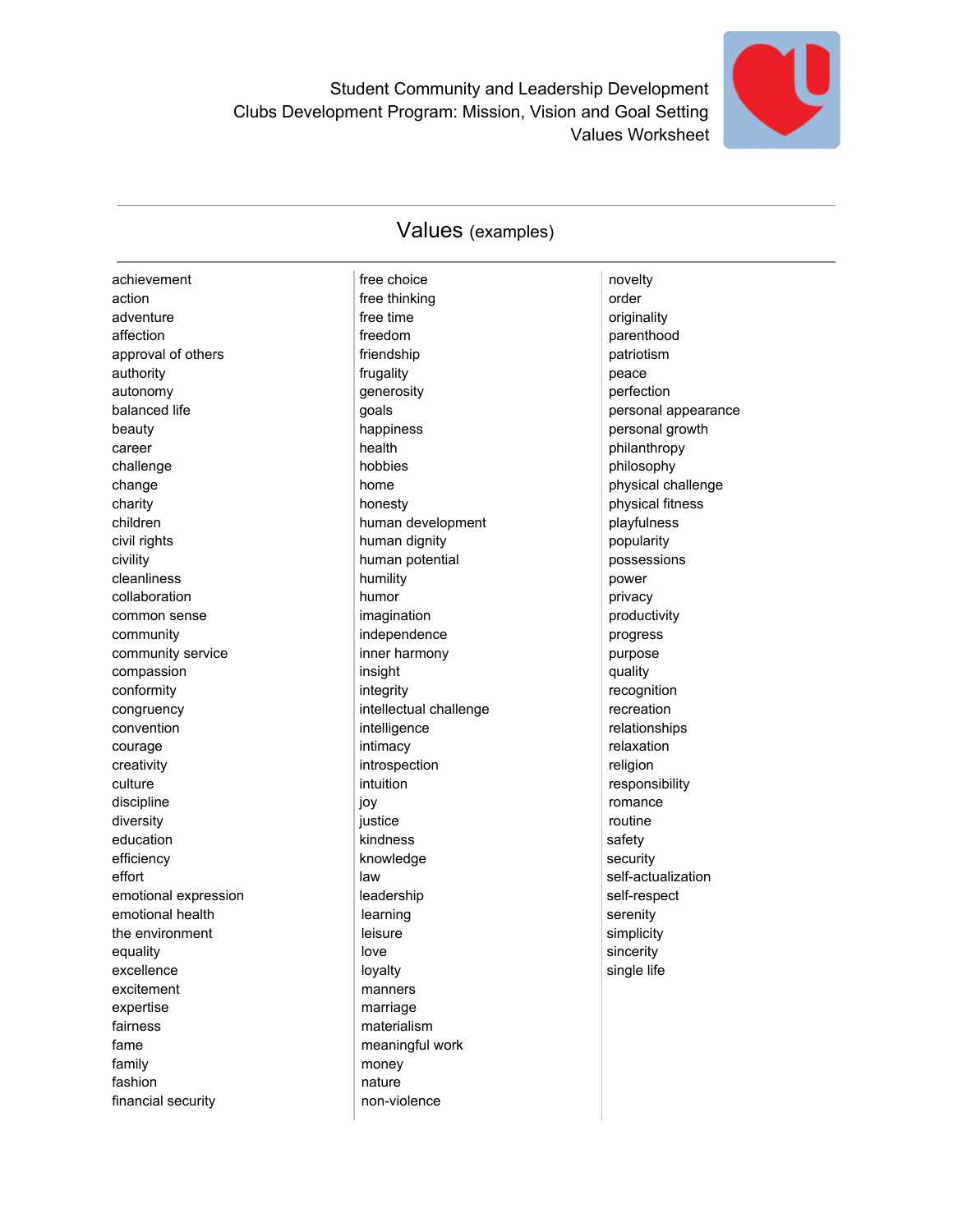

## Values (examples)

| achievement          | free choice            | novelty             |
|----------------------|------------------------|---------------------|
| action               | free thinking          | order               |
| adventure            | free time              | originality         |
| affection            | freedom                | parenthood          |
| approval of others   | friendship             | patriotism          |
| authority            | frugality              | peace               |
| autonomy             | generosity             | perfection          |
| balanced life        | goals                  | personal appearance |
| beauty               | happiness              | personal growth     |
| career               | health                 | philanthropy        |
| challenge            | hobbies                | philosophy          |
| change               | home                   | physical challenge  |
| charity              | honesty                | physical fitness    |
| children             | human development      | playfulness         |
| civil rights         | human dignity          | popularity          |
|                      |                        |                     |
| civility             | human potential        | possessions         |
| cleanliness          | humility<br>humor      | power               |
| collaboration        |                        | privacy             |
| common sense         | imagination            | productivity        |
| community            | independence           | progress            |
| community service    | inner harmony          | purpose             |
| compassion           | insight                | quality             |
| conformity           | integrity              | recognition         |
| congruency           | intellectual challenge | recreation          |
| convention           | intelligence           | relationships       |
| courage              | intimacy               | relaxation          |
| creativity           | introspection          | religion            |
| culture              | intuition              | responsibility      |
| discipline           | joy                    | romance             |
| diversity            | justice                | routine             |
| education            | kindness               | safety              |
| efficiency           | knowledge              | security            |
| effort               | law                    | self-actualization  |
| emotional expression | leadership             | self-respect        |
| emotional health     | learning               | serenity            |
| the environment      | leisure                | simplicity          |
| equality             | love                   | sincerity           |
| excellence           | loyalty                | single life         |
| excitement           | manners                |                     |
| expertise            | marriage               |                     |
| fairness             | materialism            |                     |
| fame                 | meaningful work        |                     |
| family               | money                  |                     |
| fashion              | nature                 |                     |
| financial security   | non-violence           |                     |
|                      |                        |                     |